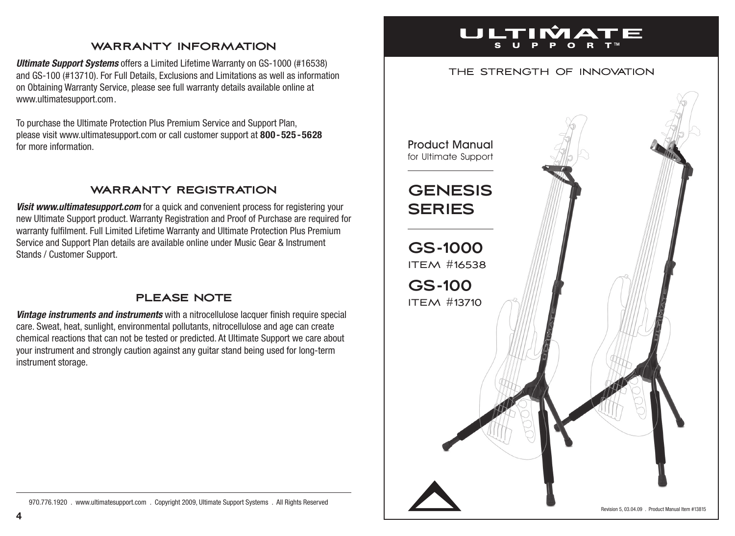#### **warranty information**

*Ultimate Support Systems* offers a Limited Lifetime Warranty on GS-1000 (#16538) and GS-100 (#13710). For Full Details, Exclusions and Limitations as well as information on Obtaining Warranty Service, please see full warranty details available online at www.ultimatesupport.com.

To purchase the Ultimate Protection Plus Premium Service and Support Plan, please visit www.ultimatesupport.com or call customer support at **800 - 525 -5628** for more information.

## **warranty registration**

**Visit www.ultimatesupport.com** for a quick and convenient process for registering your new Ultimate Support product. Warranty Registration and Proof of Purchase are required for warranty fulfilment. Full Limited Lifetime Warranty and Ultimate Protection Plus Premium Service and Support Plan details are available online under Music Gear & Instrument Stands / Customer Support.

## **please note**

*Vintage instruments and instruments* with a nitrocellulose lacquer finish require special care. Sweat, heat, sunlight, environmental pollutants, nitrocellulose and age can create chemical reactions that can not be tested or predicted. At Ultimate Support we care about your instrument and strongly caution against any guitar stand being used for long-term instrument storage.